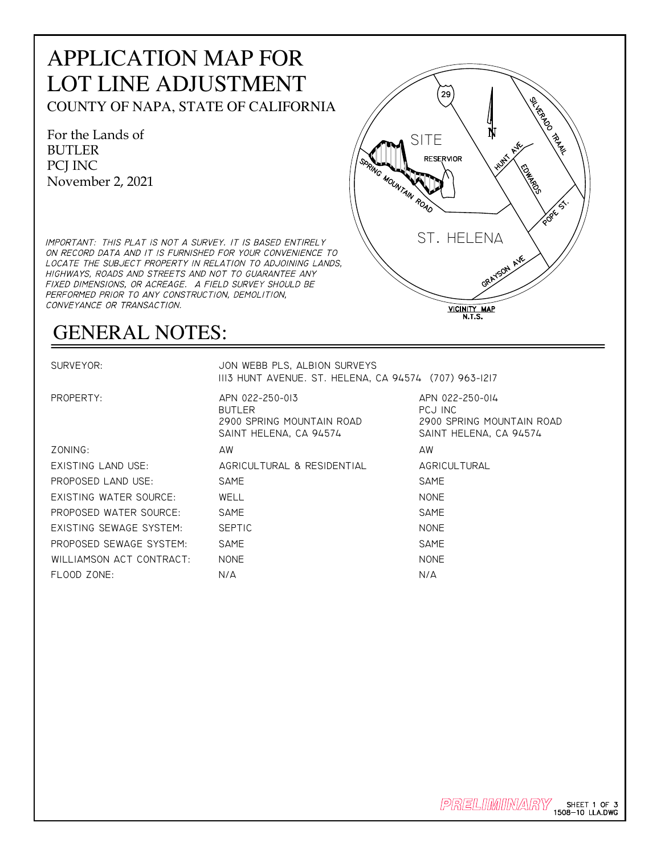## APPLICATION MAP FOR LOT LINE ADJUSTMENT COUNTY OF NAPA, STATE OF CALIFORNIA

For the Lands of BUTLER PCJ INC November 2, 2021

IMPORTANT: THIS PLAT IS NOT A SURVEY. IT IS BASED ENTIRELY ON RECORD DATA AND IT IS FURNISHED FOR YOUR CONVENIENCE TO LOCATE THE SUBJECT PROPERTY IN RELATION TO ADJOINING LANDS, HIGHWAYS, ROADS AND STREETS AND NOT TO GUARANTEE ANY FIXED DIMENSIONS, OR ACREAGE. A FIELD SURVEY SHOULD BE PERFORMED PRIOR TO ANY CONSTRUCTION, DEMOLITION, CONVEYANCE OR TRANSACTION.

## GENERAL NOTES:

SURVEYOR: JON WEBB PLS, ALBION SURVEYS 1113 HUNT AVENUE. ST. HELENA, CA 94574 (707) 963-1217

BUTLER PCJ INC 2900 SPRING MOUNTAIN ROAD 2900 SPRING MOUNTAIN ROAD SAINT HELENA, CA 94574 SAINT HELENA, CA 94574 ZONING: AW AW EXISTING LAND USE: AGRICULTURAL & RESIDENTIAL AGRICULTURAL PROPOSED LAND USE: SAME SAME SAME SAME EXISTING WATER SOURCE: WELL NONE PROPOSED WATER SOURCE: SAME SAME SAME SAME EXISTING SEWAGE SYSTEM: SEPTIC NONE PROPOSED SEWAGE SYSTEM: SAME SAME SAME SAME WILLIAMSON ACT CONTRACT: NONE NONE NONE FLOOD ZONE: N/A N/A

PROPERTY: APN 022-250-013 APN 022-250-014

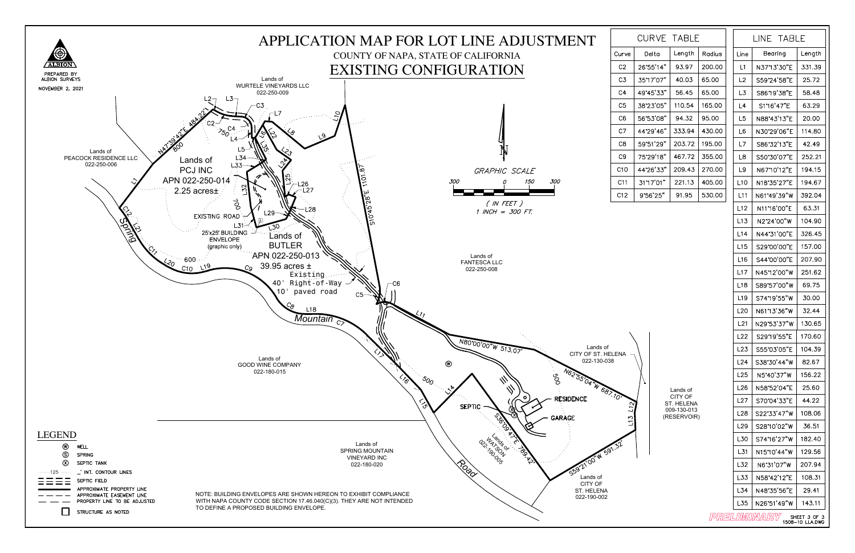## Lands of CITY OF ST. HELENA 009-130-013 (RESERVOIR)

|                                                |                 | LINE TABLE  |        |  |  |
|------------------------------------------------|-----------------|-------------|--------|--|--|
| adius                                          | Line            | Bearing     | Length |  |  |
| 00.00                                          | L1              | N37°13'30"E | 331.39 |  |  |
| 5.00                                           | L <sub>2</sub>  | S59°24'58"E | 25.72  |  |  |
| 5.00                                           | L3              | S86°19'38"E | 58.48  |  |  |
| 5.00                                           | L4              | S1°16'47"E  | 63.29  |  |  |
| 5.00                                           | L5              | N88°43'13"E | 20.00  |  |  |
| 30.00                                          | L <sub>6</sub>  | N30°29'06"E | 114.80 |  |  |
| 15.00                                          | L7              | S86'32'13"E | 42.49  |  |  |
| 55.00                                          | L8              | S50°30'07"E | 252.21 |  |  |
| 70.00                                          | L9              | N67°10'12"E | 194.15 |  |  |
| 05.00                                          | L10             | N18°35'27"E | 194.67 |  |  |
| 30.00                                          | L11             | N61°49'39"W | 392.04 |  |  |
|                                                | L12             | N11*16'00"E | 63.31  |  |  |
|                                                | L13             | N2°24'00"W  | 104.90 |  |  |
|                                                | L14             | N44°31'00"E | 326.45 |  |  |
|                                                | L15             | S29°00'00"E | 157.00 |  |  |
|                                                | L16             | S44°00'00"E | 207.90 |  |  |
|                                                | L17             | N45'12'00"W | 251.62 |  |  |
|                                                | L <sub>18</sub> | S89°57'00"W | 69.75  |  |  |
|                                                | L19             | S74'19'55"W | -30.00 |  |  |
|                                                | L20             | N61°13'36"W | 32.44  |  |  |
|                                                | L21             | N29°53'37"W | 130.65 |  |  |
|                                                | L22             | S29°19'55"E | 170.60 |  |  |
|                                                | L23             | S55°03'05"E | 104.39 |  |  |
|                                                | L24             | S38°30'44"W | 82.67  |  |  |
|                                                | L25             | N5°40'37"W  | 156.22 |  |  |
|                                                | L26             | N58°52'04"E | 25.60  |  |  |
|                                                | L27             | S70°04'33"E | 44.22  |  |  |
|                                                | L <sub>28</sub> | S22°33'47"W | 108.06 |  |  |
|                                                | L29             | S28°10'02"W | 36.51  |  |  |
|                                                | L30             | S74°16'27"W | 182.40 |  |  |
|                                                | L31             | N15°10'44"W | 129.56 |  |  |
|                                                | L32             | N6°31'07"W  | 207.94 |  |  |
|                                                | L33             | N58°42'12"E | 108.31 |  |  |
|                                                | L34             | N48°35'56"E | 29.41  |  |  |
|                                                | L35             | N26'51'49"W | 143.11 |  |  |
| PRELIMINARY<br>SHEET 3 OF 3<br>1508-10 LLA.DWG |                 |             |        |  |  |



| TABL F<br>CURVE |           |        |        |
|-----------------|-----------|--------|--------|
| e               | Delta     | Length | Radius |
|                 | 26°55'14" | 93.97  | 200.00 |
|                 | 35°17'07" | 40.03  | 65.00  |
|                 | 49'45'33" | 56.45  | 65.00  |
|                 | 38'23'05" | 110.54 | 165.00 |
|                 | 56'53'08" | 94.32  | 95.00  |
|                 | 44°29'46" | 333.94 | 430.00 |
|                 | 59°51'29" | 203.72 | 195.00 |
|                 | 75°29'18" | 467.72 | 355.00 |
|                 | 44°26'33" | 209.43 | 270.00 |
|                 | 31"17'01" | 221.13 | 405.00 |
|                 | 9°56'25"  | 91.95  | 530.00 |
|                 |           |        |        |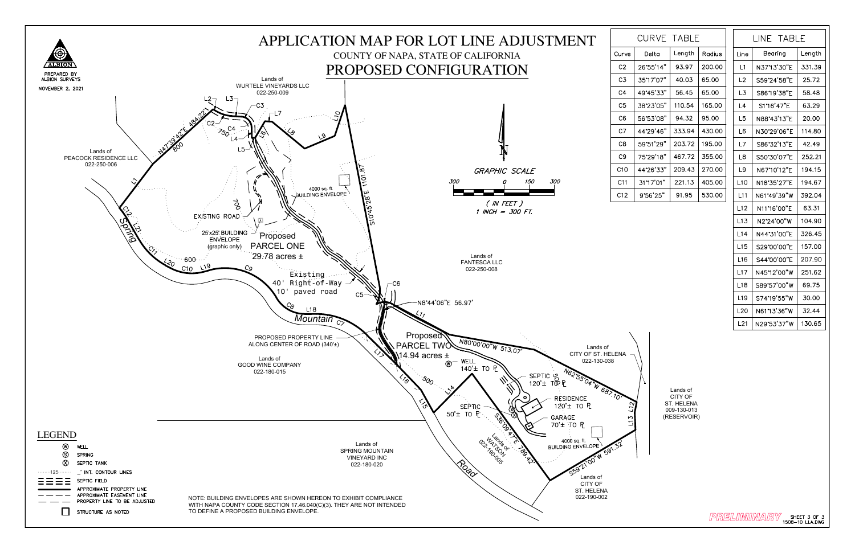Lands of CITY OF ST. HELENA 009-130-013 (RESERVOIR)

 $\mathcal{P}$ RELIMINARY sheet 3 of 3  $^{\prime\prime}$ 



| TABL F<br>CURVE |           |        |        |
|-----------------|-----------|--------|--------|
| e               | Delta     | Length | Radius |
|                 | 26°55'14" | 93.97  | 200.00 |
|                 | 35°17'07" | 40.03  | 65.00  |
|                 | 49'45'33" | 56.45  | 65.00  |
|                 | 38'23'05" | 110.54 | 165.00 |
|                 | 56'53'08" | 94.32  | 95.00  |
|                 | 44'29'46" | 333.94 | 430.00 |
|                 | 59°51'29" | 203.72 | 195.00 |
|                 | 75°29'18" | 467.72 | 355.00 |
|                 | 44°26'33" | 209.43 | 270.00 |
|                 | 31"17'01" | 221.13 | 405.00 |
|                 | 9°56'25"  | 91.95  | 530.00 |
|                 |           |        |        |

| LINE TABLE       |             |        |
|------------------|-------------|--------|
| Line             | Bearing     | Length |
| L1               | N37°13'30"E | 331.39 |
| L2               | S59°24'58"E | 25.72  |
| L3               | S86°19'38"E | 58.48  |
| L4               | S1'16'47"E  | 63.29  |
| L5               | N88°43'13"E | 20.00  |
| L6               | N30'29'06"E | 114.80 |
| L7               | S86'32'13"E | 42.49  |
| L8               | S50°30'07"E | 252.21 |
| L9               | N67"10'12"E | 194.15 |
| L10              | N18°35'27"E | 194.67 |
| L11              | N61°49'39"W | 392.04 |
| L12              | N11"16'00"E | 63.31  |
| L13              | N2°24'00"W  | 104.90 |
| L14              | N44°31'00"E | 326.45 |
| L15              | S29°00'00"E | 157.00 |
| L <sub>16</sub>  | S44°00'00"E | 207.90 |
| L17              | N45°12'00"W | 251.62 |
| L <sub>1</sub> 8 | S89°57'00"W | 69.75  |
| L19              | S74'19'55"W | 30.00  |
| L20              | N61°13'36"W | 32.44  |
| L21              | N29°53'37"W | 130.65 |